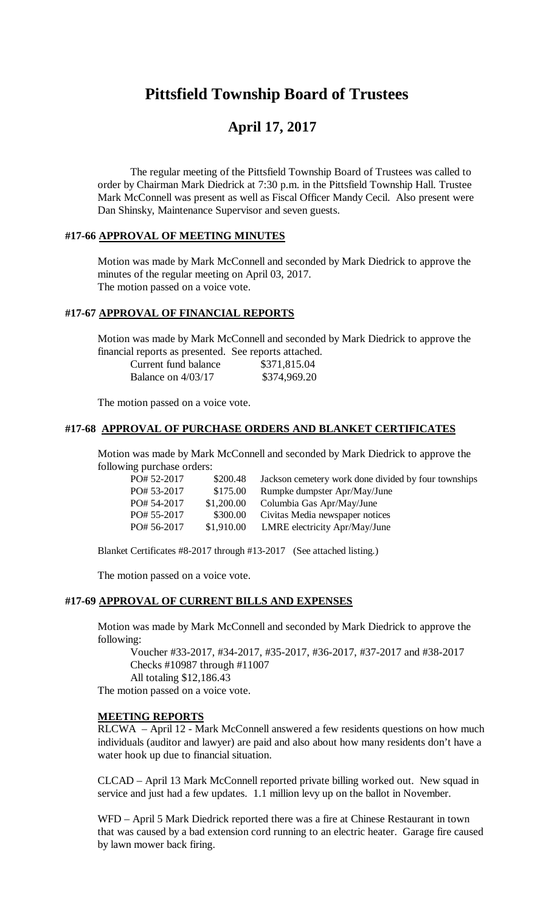# **Pittsfield Township Board of Trustees**

## **April 17, 2017**

The regular meeting of the Pittsfield Township Board of Trustees was called to order by Chairman Mark Diedrick at 7:30 p.m. in the Pittsfield Township Hall. Trustee Mark McConnell was present as well as Fiscal Officer Mandy Cecil. Also present were Dan Shinsky, Maintenance Supervisor and seven guests.

#### **#17-66 APPROVAL OF MEETING MINUTES**

Motion was made by Mark McConnell and seconded by Mark Diedrick to approve the minutes of the regular meeting on April 03, 2017. The motion passed on a voice vote.

### **#17-67 APPROVAL OF FINANCIAL REPORTS**

Motion was made by Mark McConnell and seconded by Mark Diedrick to approve the financial reports as presented. See reports attached.

| Current fund balance | \$371,815.04 |
|----------------------|--------------|
| Balance on $4/03/17$ | \$374,969.20 |

The motion passed on a voice vote.

#### **#17-68 APPROVAL OF PURCHASE ORDERS AND BLANKET CERTIFICATES**

Motion was made by Mark McConnell and seconded by Mark Diedrick to approve the following purchase orders:

| PO# 52-2017 | \$200.48   | Jackson cemetery work done divided by four townships |
|-------------|------------|------------------------------------------------------|
|             |            |                                                      |
| PO# 53-2017 | \$175.00   | Rumpke dumpster Apr/May/June                         |
| PO# 54-2017 | \$1,200.00 | Columbia Gas Apr/May/June                            |
| PO# 55-2017 | \$300.00   | Civitas Media newspaper notices                      |
| PO# 56-2017 | \$1,910.00 | LMRE electricity Apr/May/June                        |
|             |            |                                                      |

Blanket Certificates #8-2017 through #13-2017 (See attached listing.)

The motion passed on a voice vote.

#### **#17-69 APPROVAL OF CURRENT BILLS AND EXPENSES**

Motion was made by Mark McConnell and seconded by Mark Diedrick to approve the following:

Voucher #33-2017, #34-2017, #35-2017, #36-2017, #37-2017 and #38-2017 Checks #10987 through #11007 All totaling \$12,186.43

The motion passed on a voice vote.

#### **MEETING REPORTS**

RLCWA – April 12 - Mark McConnell answered a few residents questions on how much individuals (auditor and lawyer) are paid and also about how many residents don't have a water hook up due to financial situation.

CLCAD – April 13 Mark McConnell reported private billing worked out. New squad in service and just had a few updates. 1.1 million levy up on the ballot in November.

WFD – April 5 Mark Diedrick reported there was a fire at Chinese Restaurant in town that was caused by a bad extension cord running to an electric heater. Garage fire caused by lawn mower back firing.